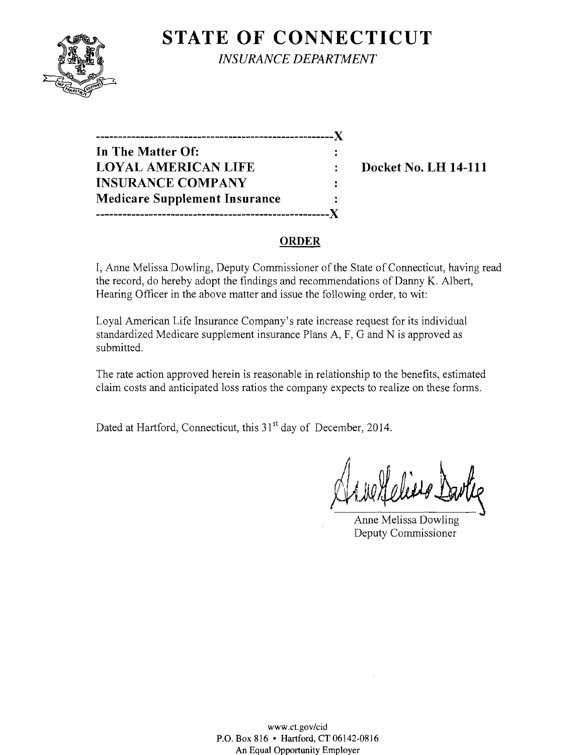

**STATE OF CONNECTICUT** *INSURANCE DEPARTMENT* 

**------------------------------------------------------)( In The Matter Of: LOYAL AMERICAN LIFE : Docket No. LH 14-111 INSURANCE COMPANY**   $\ddot{\cdot}$ **Medicare Supplement Insurance -----------------------------------------------------)(** 

## **ORDER**

I, Anne Melissa Dowling, Deputy Commissioner of the State of Connecticut, having read the record, do hereby adopt the findings and recommendations of Danny K. Albert, Hearing Officer in the above matter and issue the following order, to wit:

Loyal American Life Insurance Company's rate increase request for its individual standardized Medicare supplement insurance Plans A, F, G and N is approved as submitted.

The rate action approved herein is reasonable in relationship to the benefits, estimated claim costs and anticipated loss ratios the company expects to realize on these forms.

Dated at Hartford, Connecticut, this 31<sup>st</sup> day of December, 2014.

Arne Heliero Dartiz

Anne Melissa Dowling Deputy Commissioner

www.ct.gov/cid P.O. Box 816 • Hartford, CT 06142-0816 An Equal Opportunity Employer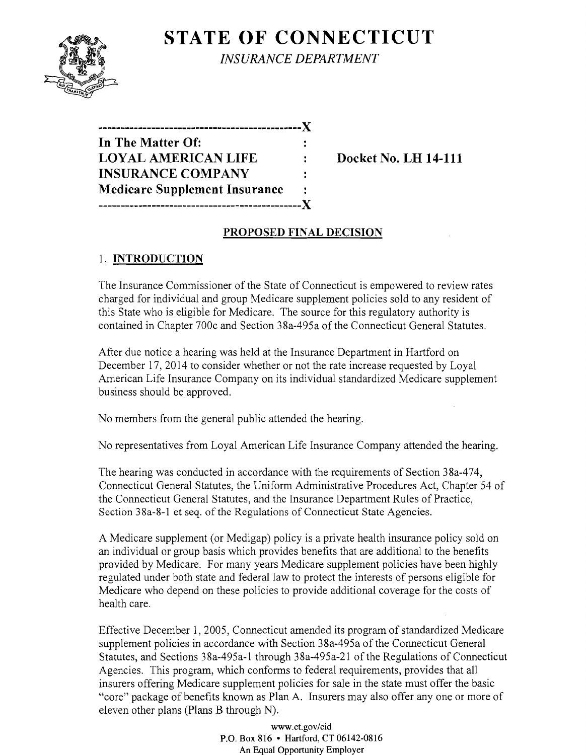**STATE OF CONNECTICUT** *INSURANCE DEPARTMENT* 

| ,,,,,,,,,,,,,,,,,,,,,,,,,,,,         |       |
|--------------------------------------|-------|
| In The Matter Of:                    |       |
| <b>LOYAL AMERICAN LIFE</b>           | ٠.    |
| <b>INSURANCE COMPANY</b>             | ٠.    |
| <b>Medicare Supplement Insurance</b> | ٠.    |
| ------------------------             | . X . |

**Docket No. LH 14-111** 

# **PROPOSED FINAL DECISION**

# 1. **INTRODUCTION**

The Insurance Commissioner of the State of Connecticut is empowered to review rates charged for individual and group Medicare supplement policies sold to any resident of this State who is eligible for Medicare. The source for this regulatory authority is contained in Chapter 700c and Section 38a-495a of the Connecticut General Statutes.

After due notice a hearing was held at the Insurance Department in Hartford on December 17,2014 to consider whether or not the rate increase requested by Loyal American Life Insurance Company on its individual standardized Medicare supplement business should be approved.

No members from the general public attended the hearing.

No representatives from Loyal American Life Insurance Company attended the hearing.

The hearing was conducted in accordance with the requirements of Section 38a-474, Connecticut General Statutes, the Uniform Administrative Procedures Act, Chapter 54 of the Connecticut General Statutes, and the Insurance Department Rules of Practice, Section 38a-8-l et seq. of the Regulations of Connecticut State Agencies.

A Medicare supplement (or Medigap) policy is a private health insurance policy sold on an individual or group basis which provides benefits that are additional to the benefits provided by Medicare. For many years Medicare supplement policies have been highly regulated under both state and federal law to protect the interests of persons eligible for Medicare who depend on these policies to provide additional coverage for the costs of health care.

Effective December 1,2005, Connecticut amended its program of standardized Medicare supplement policies in accordance with Section 38a-495a of the Connecticut General Statutes, and Sections 38a-495a-1 through 38a-495a-21 of the Regulations of Connecticut Agencies. This program, which conforms to federal requirements, provides that all insurers offering Medicare supplement policies for sale in the state must offer the basic "core" package of benefits known as Plan A. Insurers may also offer anyone or more of eleven other plans (Plans B through N).

> www.ct.gov/cid P.O. Box 816 • Hartford, CT 06142-0816 An Equal Opportunity Employer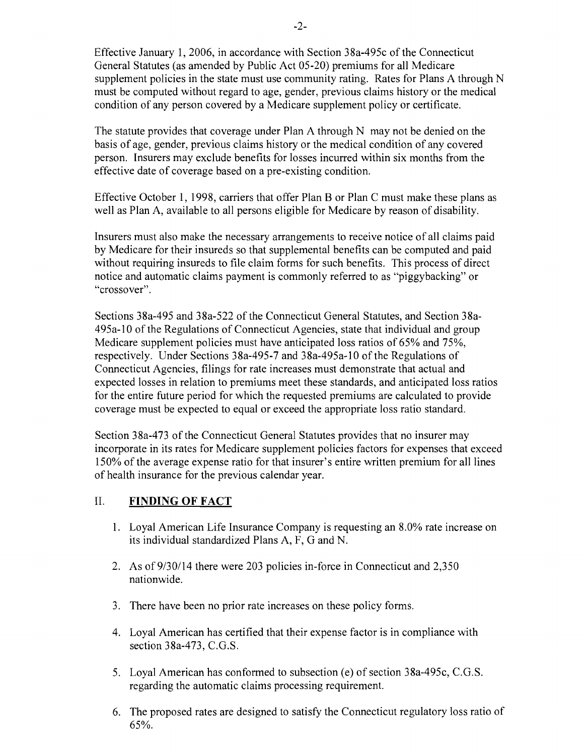Effective January 1,2006, in accordance with Section 38a-495c of the Connecticut General Statutes (as amended by Public Act 05-20) premiums for all Medicare supplement policies in the state must use community rating. Rates for Plans A through N must be computed without regard to age, gender, previous claims history or the medical condition of any person covered by a Medicare supplement policy or certificate.

The statute provides that coverage under Plan A through N may not be denied on the basis of age, gender, previous claims history or the medical condition of any covered person. Insurers may exclude benefits for losses incurred within six months from the effective date of coverage based on a pre-existing condition.

Effective October 1, 1998, carriers that offer Plan B or Plan C must make these plans as well as Plan A, available to all persons eligible for Medicare by reason of disability.

Insurers must also make the necessary arrangements to receive notice of all claims paid by Medicare for their insureds so that supplemental benefits can be computed and paid without requiring insureds to file claim forms for such benefits. This process of direct notice and automatic claims payment is commonly referred to as "piggybacking" or "crossover".

Sections 38a-495 and 38a-522 of the Connecticut General Statutes, and Section 38a-495a-10 of the Regulations of Connecticut Agencies, state that individual and group Medicare supplement policies must have anticipated loss ratios of 65% and 75%, respectively. Under Sections 38a-495-7 and 38a-495a-10 of the Regulations of Connecticut Agencies, filings for rate increases must demonstrate that actual and expected losses in relation to premiums meet these standards, and anticipated loss ratios for the entire future period for which the requested premiums are calculated to provide coverage must be expected to equal or exceed the appropriate loss ratio standard.

Section 38a-473 of the Connecticut General Statutes provides that no insurer may incorporate in its rates for Medicare supplement policies factors for expenses that exceed 150% of the average expense ratio for that insurer's entire written premium for all lines of health insurance for the previous calendar year.

### **II. FINDING OF FACT**

- 1. Loyal American Life Insurance Company is requesting an 8.0% rate increase on its individual standardized Plans A, F, G and N.
- 2. As of 9/30/14 there were 203 policies in-force in Connecticut and 2,350 nationwide.
- 3. There have been no prior rate increases on these policy forms.
- 4. Loyal American has certified that their expense factor is in compliance with section 38a-473, C.G.S.
- 5. Loyal American has conformed to subsection (e) of section 38a-495c, C.G.S. regarding the automatic claims processing requirement.
- 6. The proposed rates are designed to satisfy the Connecticut regulatory loss ratio of 65%.